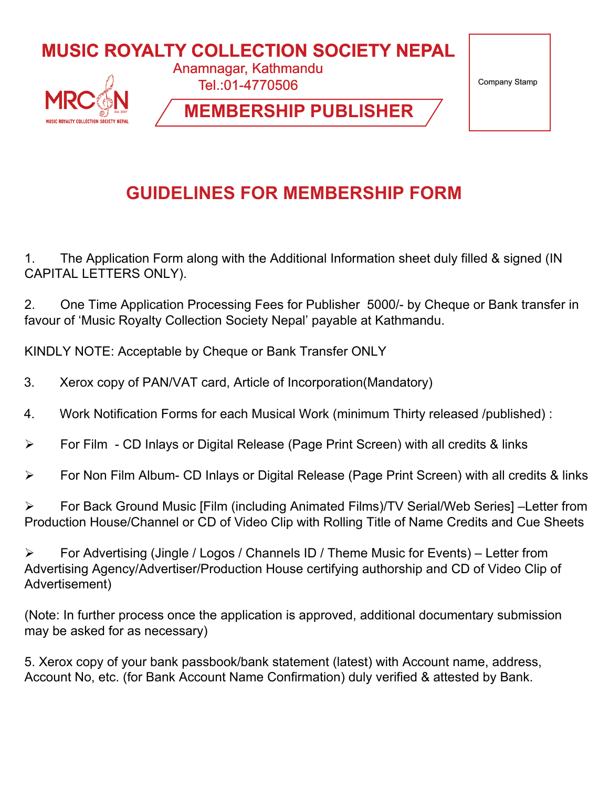

## **GUIDELINES FOR MEMBERSHIP FORM**

1. The Application Form along with the Additional Information sheet duly filled & signed (IN CAPITAL LETTERS ONLY).

2. One Time Application Processing Fees for Publisher 5000/- by Cheque or Bank transfer in favour of 'Music Royalty Collection Society Nepal' payable at Kathmandu.

KINDLY NOTE: Acceptable by Cheque or Bank Transfer ONLY

- 3. Xerox copy of PAN/VAT card, Article of Incorporation(Mandatory)
- 4. Work Notification Forms for each Musical Work (minimum Thirty released /published) :
- For Film CD Inlays or Digital Release (Page Print Screen) with all credits & links
- For Non Film Album- CD Inlays or Digital Release (Page Print Screen) with all credits & links

 For Back Ground Music [Film (including Animated Films)/TV Serial/Web Series] –Letter from Production House/Channel or CD of Video Clip with Rolling Title of Name Credits and Cue Sheets

 $\triangleright$  For Advertising (Jingle / Logos / Channels ID / Theme Music for Events) – Letter from Advertising Agency/Advertiser/Production House certifying authorship and CD of Video Clip of Advertisement)

(Note: In further process once the application is approved, additional documentary submission may be asked for as necessary)

5. Xerox copy of your bank passbook/bank statement (latest) with Account name, address, Account No, etc. (for Bank Account Name Confirmation) duly verified & attested by Bank.